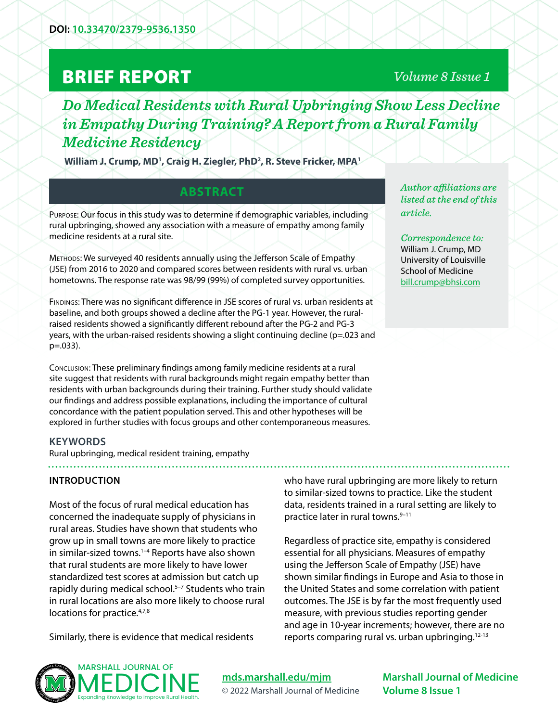# BRIEF REPORT

# *Volume 8 Issue 1*

# *Do Medical Residents with Rural Upbringing Show Less Decline in Empathy During Training? A Report from a Rural Family Medicine Residency*

William J. Crump, MD<sup>1</sup>, Craig H. Ziegler, PhD<sup>2</sup>, R. Steve Fricker, MPA<sup>1</sup>

# **ABSTRACT**

Purpose: Our focus in this study was to determine if demographic variables, including rural upbringing, showed any association with a measure of empathy among family medicine residents at a rural site.

Methods: We surveyed 40 residents annually using the Jefferson Scale of Empathy (JSE) from 2016 to 2020 and compared scores between residents with rural vs. urban hometowns. The response rate was 98/99 (99%) of completed survey opportunities.

Findings: There was no significant difference in JSE scores of rural vs. urban residents at baseline, and both groups showed a decline after the PG-1 year. However, the ruralraised residents showed a significantly different rebound after the PG-2 and PG-3 years, with the urban-raised residents showing a slight continuing decline (p=.023 and p=.033).

Conclusion: These preliminary findings among family medicine residents at a rural site suggest that residents with rural backgrounds might regain empathy better than residents with urban backgrounds during their training. Further study should validate our findings and address possible explanations, including the importance of cultural concordance with the patient population served. This and other hypotheses will be explored in further studies with focus groups and other contemporaneous measures.

*Author affiliations are listed at the end of this article.* 

*Correspondence to:*  William J. Crump, MD University of Louisville School of Medicine [bill.crump@bhsi.com](mailto:bill.crump%40bhsi.com?subject=)

# **KEYWORDS**

Rural upbringing, medical resident training, empathy

## **INTRODUCTION**

Most of the focus of rural medical education has concerned the inadequate supply of physicians in rural areas. Studies have shown that students who grow up in small towns are more likely to practice in similar-sized towns.<sup>1-4</sup> Reports have also shown that rural students are more likely to have lower standardized test scores at admission but catch up rapidly during medical school.<sup>5-7</sup> Students who train in rural locations are also more likely to choose rural locations for practice.<sup>4,7,8</sup>

Similarly, there is evidence that medical residents

who have rural upbringing are more likely to return to similar-sized towns to practice. Like the student data, residents trained in a rural setting are likely to practice later in rural towns.<sup>9-11</sup>

Regardless of practice site, empathy is considered essential for all physicians. Measures of empathy using the Jefferson Scale of Empathy (JSE) have shown similar findings in Europe and Asia to those in the United States and some correlation with patient outcomes. The JSE is by far the most frequently used measure, with previous studies reporting gender and age in 10-year increments; however, there are no reports comparing rural vs. urban upbringing. $12-13$ 



**[mds.marshall.edu/mjm](https://mds.marshall.edu/mjm/)** © 2022 Marshall Journal of Medicine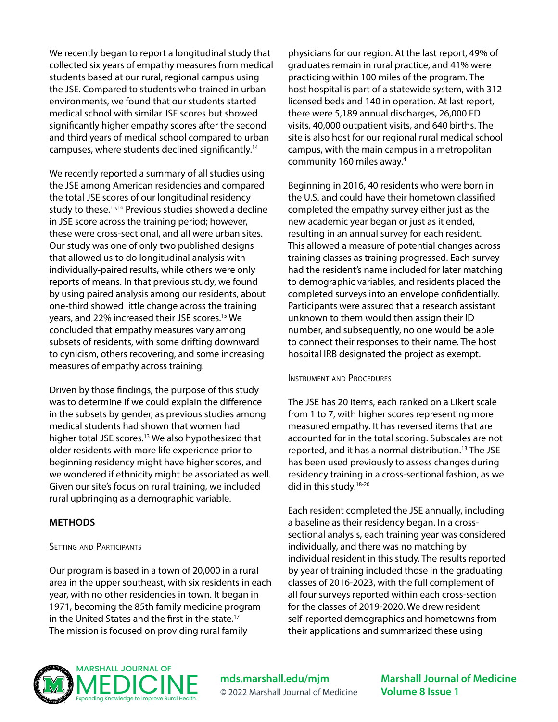We recently began to report a longitudinal study that collected six years of empathy measures from medical students based at our rural, regional campus using the JSE. Compared to students who trained in urban environments, we found that our students started medical school with similar JSE scores but showed significantly higher empathy scores after the second and third years of medical school compared to urban campuses, where students declined significantly.14

We recently reported a summary of all studies using the JSE among American residencies and compared the total JSE scores of our longitudinal residency study to these.<sup>15,16</sup> Previous studies showed a decline in JSE score across the training period; however, these were cross-sectional, and all were urban sites. Our study was one of only two published designs that allowed us to do longitudinal analysis with individually-paired results, while others were only reports of means. In that previous study, we found by using paired analysis among our residents, about one-third showed little change across the training years, and 22% increased their JSE scores.15 We concluded that empathy measures vary among subsets of residents, with some drifting downward to cynicism, others recovering, and some increasing measures of empathy across training.

Driven by those findings, the purpose of this study was to determine if we could explain the difference in the subsets by gender, as previous studies among medical students had shown that women had higher total JSE scores.<sup>13</sup> We also hypothesized that older residents with more life experience prior to beginning residency might have higher scores, and we wondered if ethnicity might be associated as well. Given our site's focus on rural training, we included rural upbringing as a demographic variable.

## **METHODS**

## SETTING AND PARTICIPANTS

Our program is based in a town of 20,000 in a rural area in the upper southeast, with six residents in each year, with no other residencies in town. It began in 1971, becoming the 85th family medicine program in the United States and the first in the state.17 The mission is focused on providing rural family

physicians for our region. At the last report, 49% of graduates remain in rural practice, and 41% were practicing within 100 miles of the program. The host hospital is part of a statewide system, with 312 licensed beds and 140 in operation. At last report, there were 5,189 annual discharges, 26,000 ED visits, 40,000 outpatient visits, and 640 births. The site is also host for our regional rural medical school campus, with the main campus in a metropolitan community 160 miles away.4

Beginning in 2016, 40 residents who were born in the U.S. and could have their hometown classified completed the empathy survey either just as the new academic year began or just as it ended, resulting in an annual survey for each resident. This allowed a measure of potential changes across training classes as training progressed. Each survey had the resident's name included for later matching to demographic variables, and residents placed the completed surveys into an envelope confidentially. Participants were assured that a research assistant unknown to them would then assign their ID number, and subsequently, no one would be able to connect their responses to their name. The host hospital IRB designated the project as exempt.

#### Instrument and Procedures

The JSE has 20 items, each ranked on a Likert scale from 1 to 7, with higher scores representing more measured empathy. It has reversed items that are accounted for in the total scoring. Subscales are not reported, and it has a normal distribution.<sup>13</sup> The JSE has been used previously to assess changes during residency training in a cross-sectional fashion, as we did in this study.<sup>18-20</sup>

Each resident completed the JSE annually, including a baseline as their residency began. In a crosssectional analysis, each training year was considered individually, and there was no matching by individual resident in this study. The results reported by year of training included those in the graduating classes of 2016-2023, with the full complement of all four surveys reported within each cross-section for the classes of 2019-2020. We drew resident self-reported demographics and hometowns from their applications and summarized these using



**[mds.marshall.edu/mjm](https://mds.marshall.edu/mjm/)** © 2022 Marshall Journal of Medicine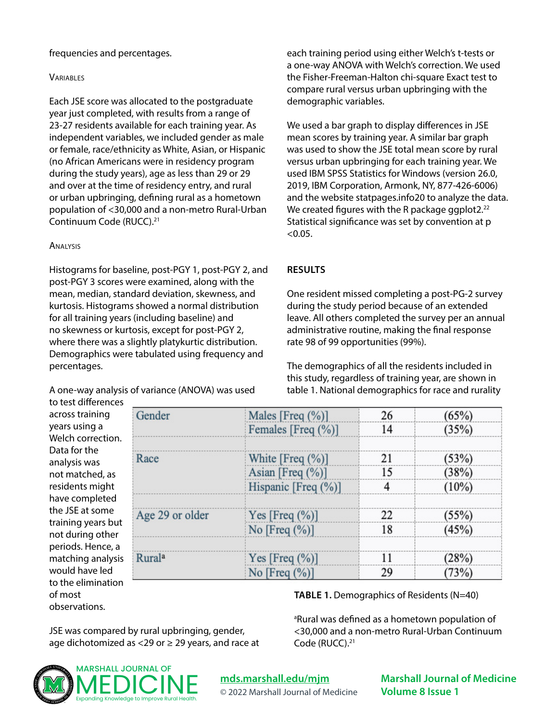#### frequencies and percentages.

#### **VARIABLES**

Each JSE score was allocated to the postgraduate year just completed, with results from a range of 23-27 residents available for each training year. As independent variables, we included gender as male or female, race/ethnicity as White, Asian, or Hispanic (no African Americans were in residency program during the study years), age as less than 29 or 29 and over at the time of residency entry, and rural or urban upbringing, defining rural as a hometown population of <30,000 and a non-metro Rural-Urban Continuum Code (RUCC).21

#### Analysis

Histograms for baseline, post-PGY 1, post-PGY 2, and post-PGY 3 scores were examined, along with the mean, median, standard deviation, skewness, and kurtosis. Histograms showed a normal distribution for all training years (including baseline) and no skewness or kurtosis, except for post-PGY 2, where there was a slightly platykurtic distribution. Demographics were tabulated using frequency and percentages.

A one-way analysis of variance (ANOVA) was used to test differences

each training period using either Welch's t-tests or a one-way ANOVA with Welch's correction. We used the Fisher-Freeman-Halton chi-square Exact test to compare rural versus urban upbringing with the demographic variables.

We used a bar graph to display differences in JSE mean scores by training year. A similar bar graph was used to show the JSE total mean score by rural versus urban upbringing for each training year. We used IBM SPSS Statistics for Windows (version 26.0, 2019, IBM Corporation, Armonk, NY, 877-426-6006) and the website statpages.info20 to analyze the data. We created figures with the R package ggplot2.<sup>22</sup> Statistical significance was set by convention at p  $< 0.05.$ 

#### **RESULTS**

One resident missed completing a post-PG-2 survey during the study period because of an extended leave. All others completed the survey per an annual administrative routine, making the final response rate 98 of 99 opportunities (99%).

The demographics of all the residents included in this study, regardless of training year, are shown in table 1. National demographics for race and rurality

**TABLE 1.** Demographics of Residents (N=40)

<sup>a</sup>Rural was defined as a hometown population of <30,000 and a non-metro Rural-Urban Continuum

across training years using a Welch correction. Data for the analysis was not matched, as residents might have completed the JSE at some training years but not during other periods. Hence, a matching analysis would have led to the elimination of most observations.

| Gender          | Males [Freq $(\%)$ ] | 26 | (65%)    |
|-----------------|----------------------|----|----------|
|                 | Females [Freq (%)]   | 14 | (35%)    |
|                 |                      |    |          |
| Race            | White $[Freq (%)]$   | 21 | (53%)    |
|                 | Asian [Freq $(\%)$ ] | 15 | (38%)    |
|                 | Hispanic [Freq (%)]  | 4  | $(10\%)$ |
| Age 29 or older | Yes [Freq $(\%)$ ]   | 22 | (55%)    |
|                 | No [Freq $(\%)$ ]    | 18 | (45%)    |
| <b>Rurala</b>   | Yes [Freq $(\%)$ ]   | 11 | (28%)    |
|                 | No [Freq $(\%)$ ]    | 29 | (73%)    |

Code (RUCC).<sup>21</sup>

JSE was compared by rural upbringing, gender, age dichotomized as <29 or  $\geq$  29 years, and race at



# **[mds.marshall.edu/mjm](https://mds.marshall.edu/mjm/)**

© 2022 Marshall Journal of Medicine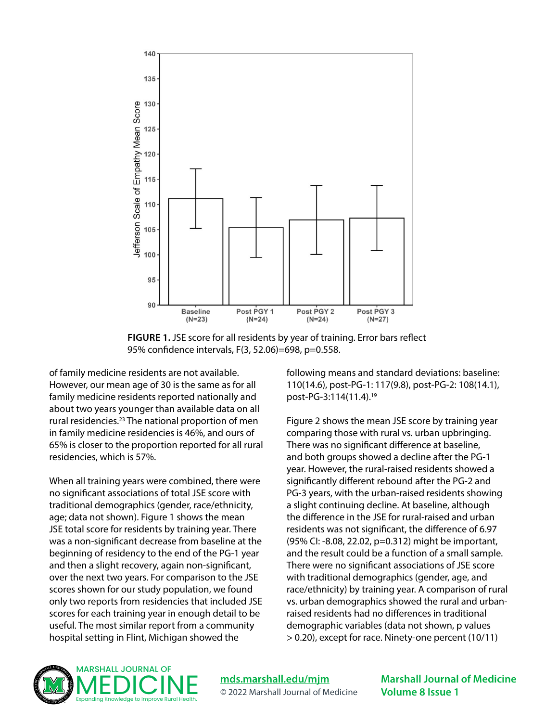

**FIGURE 1.** JSE score for all residents by year of training. Error bars reflect 95% confidence intervals, F(3, 52.06)=698, p=0.558.

of family medicine residents are not available. However, our mean age of 30 is the same as for all family medicine residents reported nationally and about two years younger than available data on all rural residencies.23 The national proportion of men in family medicine residencies is 46%, and ours of 65% is closer to the proportion reported for all rural residencies, which is 57%.

When all training years were combined, there were no significant associations of total JSE score with traditional demographics (gender, race/ethnicity, age; data not shown). Figure 1 shows the mean JSE total score for residents by training year. There was a non-significant decrease from baseline at the beginning of residency to the end of the PG-1 year and then a slight recovery, again non-significant, over the next two years. For comparison to the JSE scores shown for our study population, we found only two reports from residencies that included JSE scores for each training year in enough detail to be useful. The most similar report from a community hospital setting in Flint, Michigan showed the

following means and standard deviations: baseline: 110(14.6), post-PG-1: 117(9.8), post-PG-2: 108(14.1), post-PG-3:114(11.4).19

Figure 2 shows the mean JSE score by training year comparing those with rural vs. urban upbringing. There was no significant difference at baseline, and both groups showed a decline after the PG-1 year. However, the rural-raised residents showed a significantly different rebound after the PG-2 and PG-3 years, with the urban-raised residents showing a slight continuing decline. At baseline, although the difference in the JSE for rural-raised and urban residents was not significant, the difference of 6.97 (95% CI: -8.08, 22.02, p=0.312) might be important, and the result could be a function of a small sample. There were no significant associations of JSE score with traditional demographics (gender, age, and race/ethnicity) by training year. A comparison of rural vs. urban demographics showed the rural and urbanraised residents had no differences in traditional demographic variables (data not shown, p values > 0.20), except for race. Ninety-one percent (10/11)



**[mds.marshall.edu/mjm](https://mds.marshall.edu/mjm/)** © 2022 Marshall Journal of Medicine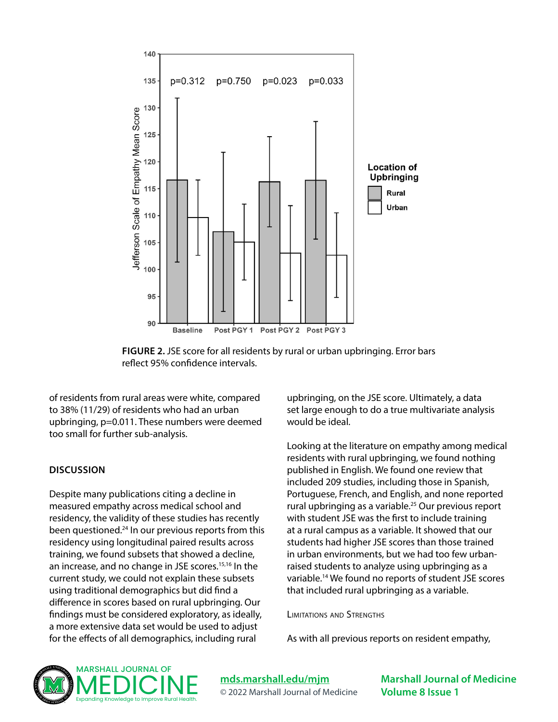

**FIGURE 2.** JSE score for all residents by rural or urban upbringing. Error bars reflect 95% confidence intervals.

of residents from rural areas were white, compared to 38% (11/29) of residents who had an urban upbringing, p=0.011. These numbers were deemed too small for further sub-analysis.

#### **DISCUSSION**

Despite many publications citing a decline in measured empathy across medical school and residency, the validity of these studies has recently been questioned.24 In our previous reports from this residency using longitudinal paired results across training, we found subsets that showed a decline, an increase, and no change in JSE scores.<sup>15,16</sup> In the current study, we could not explain these subsets using traditional demographics but did find a difference in scores based on rural upbringing. Our findings must be considered exploratory, as ideally, a more extensive data set would be used to adjust for the effects of all demographics, including rural

upbringing, on the JSE score. Ultimately, a data set large enough to do a true multivariate analysis would be ideal.

Looking at the literature on empathy among medical residents with rural upbringing, we found nothing published in English. We found one review that included 209 studies, including those in Spanish, Portuguese, French, and English, and none reported rural upbringing as a variable.25 Our previous report with student JSE was the first to include training at a rural campus as a variable. It showed that our students had higher JSE scores than those trained in urban environments, but we had too few urbanraised students to analyze using upbringing as a variable.14 We found no reports of student JSE scores that included rural upbringing as a variable.

Limitations and Strengths

As with all previous reports on resident empathy,



**[mds.marshall.edu/mjm](https://mds.marshall.edu/mjm/)** © 2022 Marshall Journal of Medicine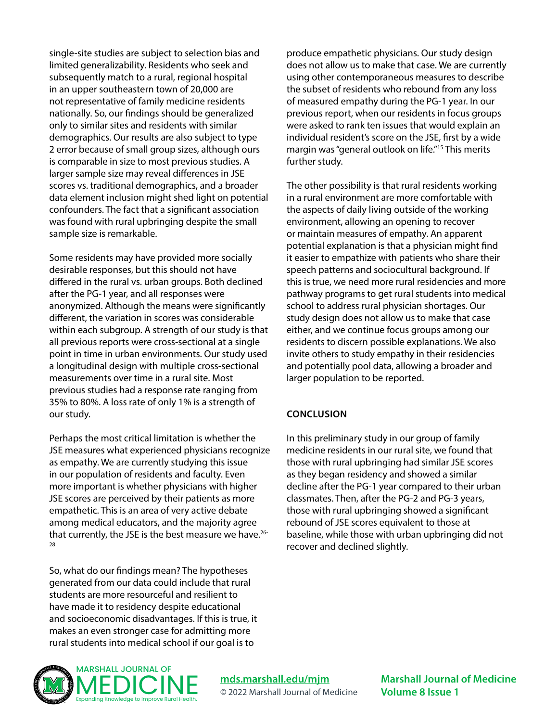single-site studies are subject to selection bias and limited generalizability. Residents who seek and subsequently match to a rural, regional hospital in an upper southeastern town of 20,000 are not representative of family medicine residents nationally. So, our findings should be generalized only to similar sites and residents with similar demographics. Our results are also subject to type 2 error because of small group sizes, although ours is comparable in size to most previous studies. A larger sample size may reveal differences in JSE scores vs. traditional demographics, and a broader data element inclusion might shed light on potential confounders. The fact that a significant association was found with rural upbringing despite the small sample size is remarkable.

Some residents may have provided more socially desirable responses, but this should not have differed in the rural vs. urban groups. Both declined after the PG-1 year, and all responses were anonymized. Although the means were significantly different, the variation in scores was considerable within each subgroup. A strength of our study is that all previous reports were cross-sectional at a single point in time in urban environments. Our study used a longitudinal design with multiple cross-sectional measurements over time in a rural site. Most previous studies had a response rate ranging from 35% to 80%. A loss rate of only 1% is a strength of our study.

Perhaps the most critical limitation is whether the JSE measures what experienced physicians recognize as empathy. We are currently studying this issue in our population of residents and faculty. Even more important is whether physicians with higher JSE scores are perceived by their patients as more empathetic. This is an area of very active debate among medical educators, and the majority agree that currently, the JSE is the best measure we have.26- 28

So, what do our findings mean? The hypotheses generated from our data could include that rural students are more resourceful and resilient to have made it to residency despite educational and socioeconomic disadvantages. If this is true, it makes an even stronger case for admitting more rural students into medical school if our goal is to

produce empathetic physicians. Our study design does not allow us to make that case. We are currently using other contemporaneous measures to describe the subset of residents who rebound from any loss of measured empathy during the PG-1 year. In our previous report, when our residents in focus groups were asked to rank ten issues that would explain an individual resident's score on the JSE, first by a wide margin was "general outlook on life."<sup>15</sup> This merits further study.

The other possibility is that rural residents working in a rural environment are more comfortable with the aspects of daily living outside of the working environment, allowing an opening to recover or maintain measures of empathy. An apparent potential explanation is that a physician might find it easier to empathize with patients who share their speech patterns and sociocultural background. If this is true, we need more rural residencies and more pathway programs to get rural students into medical school to address rural physician shortages. Our study design does not allow us to make that case either, and we continue focus groups among our residents to discern possible explanations. We also invite others to study empathy in their residencies and potentially pool data, allowing a broader and larger population to be reported.

# **CONCLUSION**

In this preliminary study in our group of family medicine residents in our rural site, we found that those with rural upbringing had similar JSE scores as they began residency and showed a similar decline after the PG-1 year compared to their urban classmates. Then, after the PG-2 and PG-3 years, those with rural upbringing showed a significant rebound of JSE scores equivalent to those at baseline, while those with urban upbringing did not recover and declined slightly.



**[mds.marshall.edu/mjm](https://mds.marshall.edu/mjm/)** © 2022 Marshall Journal of Medicine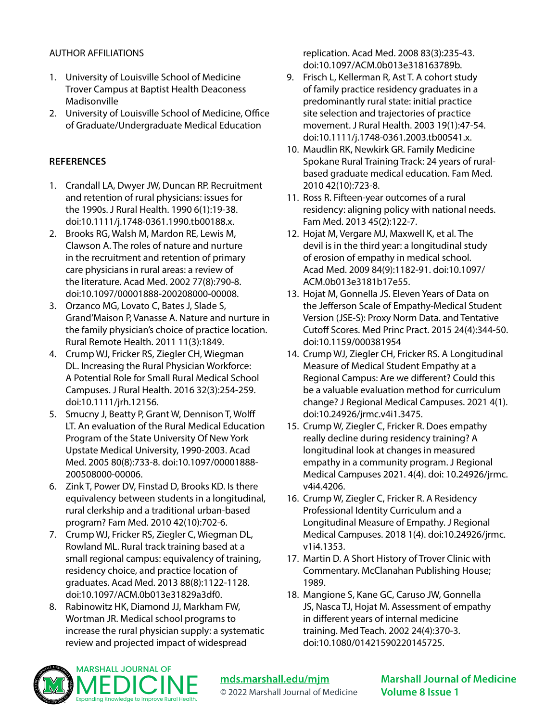## AUTHOR AFFILIATIONS

- 1. University of Louisville School of Medicine Trover Campus at Baptist Health Deaconess Madisonville
- 2. University of Louisville School of Medicine, Office of Graduate/Undergraduate Medical Education

## **REFERENCES**

- 1. Crandall LA, Dwyer JW, Duncan RP. Recruitment and retention of rural physicians: issues for the 1990s. J Rural Health. 1990 6(1):19-38. doi:10.1111/j.1748-0361.1990.tb00188.x.
- 2. Brooks RG, Walsh M, Mardon RE, Lewis M, Clawson A. The roles of nature and nurture in the recruitment and retention of primary care physicians in rural areas: a review of the literature. Acad Med. 2002 77(8):790-8. doi:10.1097/00001888-200208000-00008.
- 3. Orzanco MG, Lovato C, Bates J, Slade S, Grand'Maison P, Vanasse A. Nature and nurture in the family physician's choice of practice location. Rural Remote Health. 2011 11(3):1849.
- 4. Crump WJ, Fricker RS, Ziegler CH, Wiegman DL. Increasing the Rural Physician Workforce: A Potential Role for Small Rural Medical School Campuses. J Rural Health. 2016 32(3):254-259. doi:10.1111/jrh.12156.
- 5. Smucny J, Beatty P, Grant W, Dennison T, Wolff LT. An evaluation of the Rural Medical Education Program of the State University Of New York Upstate Medical University, 1990-2003. Acad Med. 2005 80(8):733-8. doi:10.1097/00001888- 200508000-00006.
- 6. Zink T, Power DV, Finstad D, Brooks KD. Is there equivalency between students in a longitudinal, rural clerkship and a traditional urban-based program? Fam Med. 2010 42(10):702-6.
- 7. Crump WJ, Fricker RS, Ziegler C, Wiegman DL, Rowland ML. Rural track training based at a small regional campus: equivalency of training, residency choice, and practice location of graduates. Acad Med. 2013 88(8):1122-1128. doi:10.1097/ACM.0b013e31829a3df0.
- 8. Rabinowitz HK, Diamond JJ, Markham FW, Wortman JR. Medical school programs to increase the rural physician supply: a systematic review and projected impact of widespread

replication. Acad Med. 2008 83(3):235-43. doi:10.1097/ACM.0b013e318163789b.

- 9. Frisch L, Kellerman R, Ast T. A cohort study of family practice residency graduates in a predominantly rural state: initial practice site selection and trajectories of practice movement. J Rural Health. 2003 19(1):47-54. doi:10.1111/j.1748-0361.2003.tb00541.x.
- 10. Maudlin RK, Newkirk GR. Family Medicine Spokane Rural Training Track: 24 years of ruralbased graduate medical education. Fam Med. 2010 42(10):723-8.
- 11. Ross R. Fifteen-year outcomes of a rural residency: aligning policy with national needs. Fam Med. 2013 45(2):122-7.
- 12. Hojat M, Vergare MJ, Maxwell K, et al. The devil is in the third year: a longitudinal study of erosion of empathy in medical school. Acad Med. 2009 84(9):1182-91. doi:10.1097/ ACM.0b013e3181b17e55.
- 13. Hojat M, Gonnella JS. Eleven Years of Data on the Jefferson Scale of Empathy-Medical Student Version (JSE-S): Proxy Norm Data. and Tentative Cutoff Scores. Med Princ Pract. 2015 24(4):344-50. doi:10.1159/000381954
- 14. Crump WJ, Ziegler CH, Fricker RS. A Longitudinal Measure of Medical Student Empathy at a Regional Campus: Are we different? Could this be a valuable evaluation method for curriculum change? J Regional Medical Campuses. 2021 4(1). doi:10.24926/jrmc.v4i1.3475.
- 15. Crump W, Ziegler C, Fricker R. Does empathy really decline during residency training? A longitudinal look at changes in measured empathy in a community program. J Regional Medical Campuses 2021. 4(4). doi: 10.24926/jrmc. v4i4.4206.
- 16. Crump W, Ziegler C, Fricker R. A Residency Professional Identity Curriculum and a Longitudinal Measure of Empathy. J Regional Medical Campuses. 2018 1(4). doi:10.24926/jrmc. v1i4.1353.
- 17. Martin D. A Short History of Trover Clinic with Commentary. McClanahan Publishing House; 1989.
- 18. Mangione S, Kane GC, Caruso JW, Gonnella JS, Nasca TJ, Hojat M. Assessment of empathy in different years of internal medicine training. Med Teach. 2002 24(4):370-3. doi:10.1080/01421590220145725.



**[mds.marshall.edu/mjm](https://mds.marshall.edu/mjm/)** © 2022 Marshall Journal of Medicine